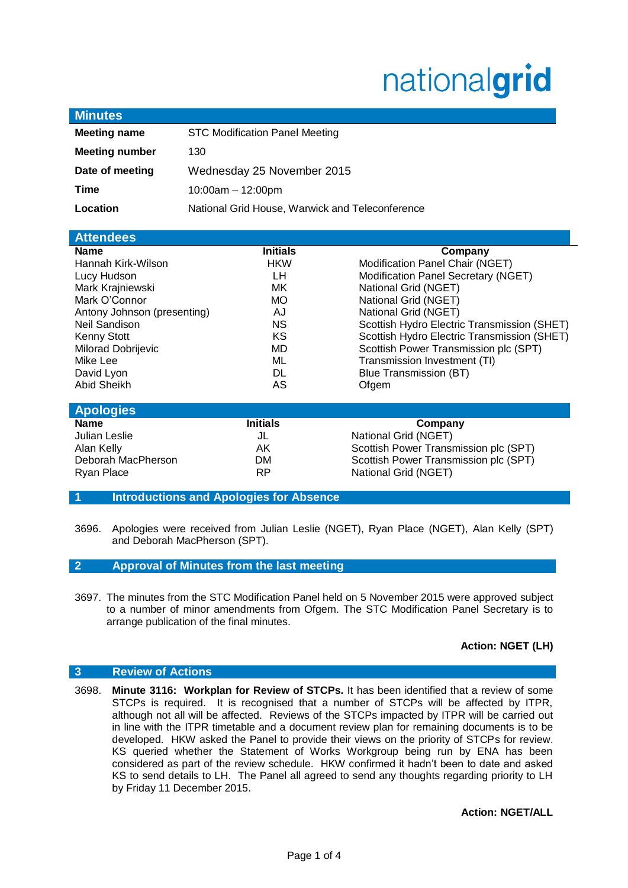# nationalgrid

| <b>Minutes</b>        |                                                 |
|-----------------------|-------------------------------------------------|
| <b>Meeting name</b>   | <b>STC Modification Panel Meeting</b>           |
| <b>Meeting number</b> | 130                                             |
| Date of meeting       | Wednesday 25 November 2015                      |
| Time                  | $10:00am - 12:00pm$                             |
| Location              | National Grid House, Warwick and Teleconference |
|                       |                                                 |

| <b>Attendees</b>            |                 |                                             |
|-----------------------------|-----------------|---------------------------------------------|
| <b>Name</b>                 | <b>Initials</b> | Company                                     |
| Hannah Kirk-Wilson          | <b>HKW</b>      | Modification Panel Chair (NGET)             |
| Lucy Hudson                 | LН              | Modification Panel Secretary (NGET)         |
| Mark Krajniewski            | МK              | National Grid (NGET)                        |
| Mark O'Connor               | <b>MO</b>       | National Grid (NGET)                        |
| Antony Johnson (presenting) | AJ              | National Grid (NGET)                        |
| Neil Sandison               | <b>NS</b>       | Scottish Hydro Electric Transmission (SHET) |
| <b>Kenny Stott</b>          | ΚS              | Scottish Hydro Electric Transmission (SHET) |
| Milorad Dobrijevic          | MD              | Scottish Power Transmission plc (SPT)       |
| Mike Lee                    | ML              | Transmission Investment (TI)                |
| David Lyon                  | DL              | Blue Transmission (BT)                      |
| Abid Sheikh                 | AS              | Ofgem                                       |

| <b>Apologies</b>   |                 |                                       |  |  |
|--------------------|-----------------|---------------------------------------|--|--|
| <b>Name</b>        | <b>Initials</b> | Company                               |  |  |
| Julian Leslie      | JL              | National Grid (NGET)                  |  |  |
| Alan Kelly         | AK.             | Scottish Power Transmission plc (SPT) |  |  |
| Deborah MacPherson | DМ              | Scottish Power Transmission plc (SPT) |  |  |
| Ryan Place         | <b>RP</b>       | National Grid (NGET)                  |  |  |

**1 Introductions and Apologies for Absence**

3696. Apologies were received from Julian Leslie (NGET), Ryan Place (NGET), Alan Kelly (SPT) and Deborah MacPherson (SPT).

# **2 Approval of Minutes from the last meeting**

3697. The minutes from the STC Modification Panel held on 5 November 2015 were approved subject to a number of minor amendments from Ofgem. The STC Modification Panel Secretary is to arrange publication of the final minutes.

# **Action: NGET (LH)**

# **3 Review of Actions**

3698. **Minute 3116: Workplan for Review of STCPs.** It has been identified that a review of some STCPs is required. It is recognised that a number of STCPs will be affected by ITPR, although not all will be affected. Reviews of the STCPs impacted by ITPR will be carried out in line with the ITPR timetable and a document review plan for remaining documents is to be developed. HKW asked the Panel to provide their views on the priority of STCPs for review. KS queried whether the Statement of Works Workgroup being run by ENA has been considered as part of the review schedule. HKW confirmed it hadn't been to date and asked KS to send details to LH. The Panel all agreed to send any thoughts regarding priority to LH by Friday 11 December 2015.

**Action: NGET/ALL**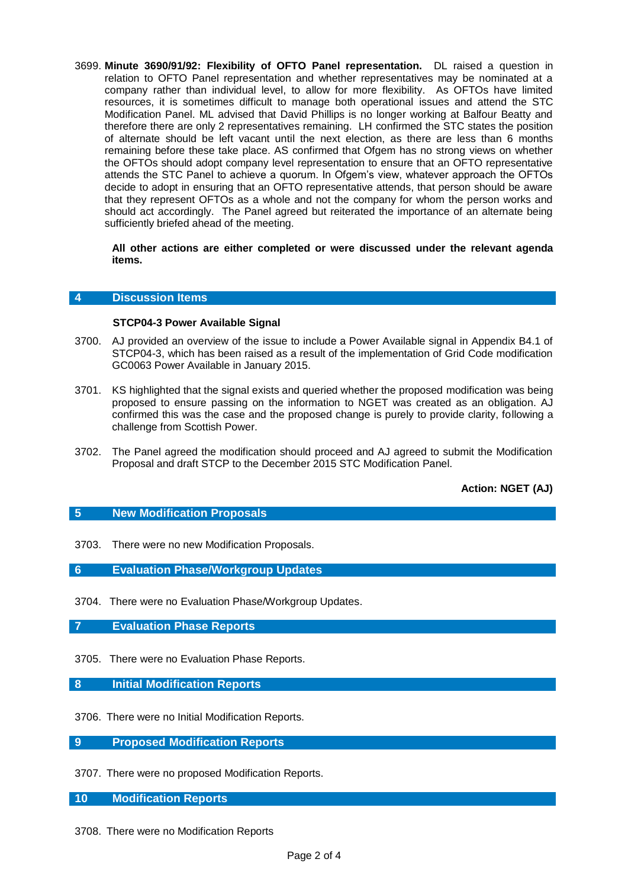3699. **Minute 3690/91/92: Flexibility of OFTO Panel representation.** DL raised a question in relation to OFTO Panel representation and whether representatives may be nominated at a company rather than individual level, to allow for more flexibility. As OFTOs have limited resources, it is sometimes difficult to manage both operational issues and attend the STC Modification Panel. ML advised that David Phillips is no longer working at Balfour Beatty and therefore there are only 2 representatives remaining. LH confirmed the STC states the position of alternate should be left vacant until the next election, as there are less than 6 months remaining before these take place. AS confirmed that Ofgem has no strong views on whether the OFTOs should adopt company level representation to ensure that an OFTO representative attends the STC Panel to achieve a quorum. In Ofgem's view, whatever approach the OFTOs decide to adopt in ensuring that an OFTO representative attends, that person should be aware that they represent OFTOs as a whole and not the company for whom the person works and should act accordingly. The Panel agreed but reiterated the importance of an alternate being sufficiently briefed ahead of the meeting.

#### **All other actions are either completed or were discussed under the relevant agenda items.**

#### **4 Discussion Items**

## **STCP04-3 Power Available Signal**

- 3700. AJ provided an overview of the issue to include a Power Available signal in Appendix B4.1 of STCP04-3, which has been raised as a result of the implementation of Grid Code modification GC0063 Power Available in January 2015.
- 3701. KS highlighted that the signal exists and queried whether the proposed modification was being proposed to ensure passing on the information to NGET was created as an obligation. AJ confirmed this was the case and the proposed change is purely to provide clarity, following a challenge from Scottish Power.
- 3702. The Panel agreed the modification should proceed and AJ agreed to submit the Modification Proposal and draft STCP to the December 2015 STC Modification Panel.

**Action: NGET (AJ)**

# **5 New Modification Proposals**

- 3703. There were no new Modification Proposals.
- **6 Evaluation Phase/Workgroup Updates**
- 3704. There were no Evaluation Phase/Workgroup Updates.
- **7 Evaluation Phase Reports**
- 3705. There were no Evaluation Phase Reports.
- **8 Initial Modification Reports**
- 3706. There were no Initial Modification Reports.
- **9 Proposed Modification Reports**
- 3707. There were no proposed Modification Reports.
- **10 Modification Reports**
- 3708. There were no Modification Reports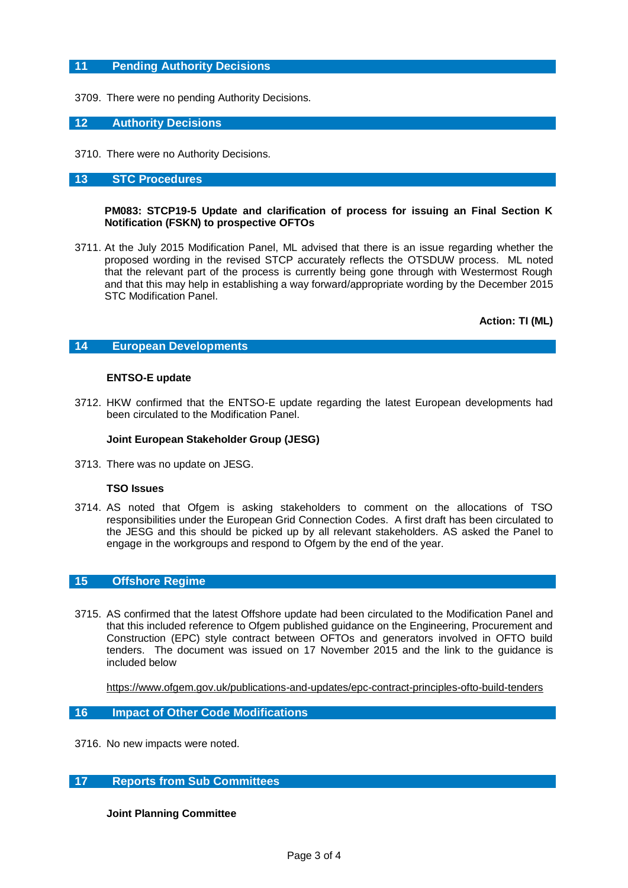# **11 Pending Authority Decisions**

3709. There were no pending Authority Decisions.

# **12 Authority Decisions**

3710. There were no Authority Decisions.

## **13 STC Procedures**

#### **PM083: STCP19-5 Update and clarification of process for issuing an Final Section K Notification (FSKN) to prospective OFTOs**

3711. At the July 2015 Modification Panel, ML advised that there is an issue regarding whether the proposed wording in the revised STCP accurately reflects the OTSDUW process. ML noted that the relevant part of the process is currently being gone through with Westermost Rough and that this may help in establishing a way forward/appropriate wording by the December 2015 STC Modification Panel.

**Action: TI (ML)**

# **14 European Developments**

#### **ENTSO-E update**

3712. HKW confirmed that the ENTSO-E update regarding the latest European developments had been circulated to the Modification Panel.

#### **Joint European Stakeholder Group (JESG)**

3713. There was no update on JESG.

#### **TSO Issues**

3714. AS noted that Ofgem is asking stakeholders to comment on the allocations of TSO responsibilities under the European Grid Connection Codes. A first draft has been circulated to the JESG and this should be picked up by all relevant stakeholders. AS asked the Panel to engage in the workgroups and respond to Ofgem by the end of the year.

### **15 Offshore Regime**

3715. AS confirmed that the latest Offshore update had been circulated to the Modification Panel and that this included reference to Ofgem published guidance on the Engineering, Procurement and Construction (EPC) style contract between OFTOs and generators involved in OFTO build tenders. The document was issued on 17 November 2015 and the link to the guidance is included below

<https://www.ofgem.gov.uk/publications-and-updates/epc-contract-principles-ofto-build-tenders>

### **16 Impact of Other Code Modifications**

3716. No new impacts were noted.

# **17 Reports from Sub Committees**

#### **Joint Planning Committee**